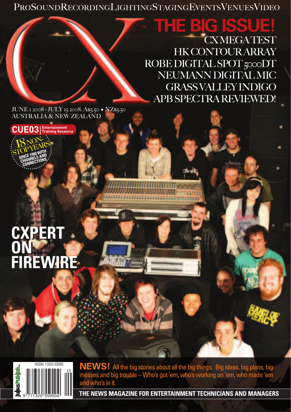PROSOUNDRECORDINGLIGHTINGSTAGINGEVENTSVENUESVIDEO

## **THE BIG ISS!** CX MEGA TEST HK CONTOUR ARRAY ROBE DIGITAL SPOT 5000DT NEUMANN DIGITAL MIC GRASS VALLEY INDIGO

APB SPECTRA REVIEWED!

JUNE 1 2008 - JULY 15 2008. A\$5.50 • NZ\$5.50 AUSTRALIA & NEW ZEALAND



**CONNECTIONS** 

## **CXPERT ON FIREWIRE FIREWIRECXPERT ON**



**NEWS!** All the big stories about all the big things. Big ideas, big plans, big messes and big trouble – Who's got 'em, who's working on 'em, who made 'em and who's in it.

**THE NEWS MAGAZINE FOR ENTERTAINMENT TECHNICIANS AND MANAGERS**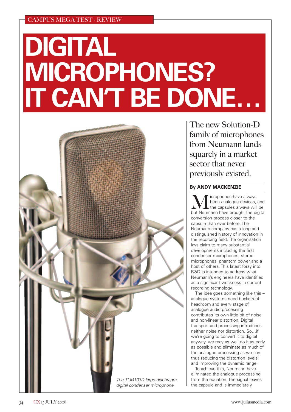## **DIGITAL MICROPHONES? IT CAN'T BE DONE…**



The new Solution-D family of microphones from Neumann lands squarely in a market sector that never previously existed.

#### **By ANDY MACKENZIE**

**MULLA** is the analogue devices, and<br>but Neumann have brought the digital<br>but Neumann have brought the digital been analogue devices, and the capsules always will be conversion process closer to the capsule than ever before. The Neumann company has a long and distinguished history of innovation in the recording field. The organisation lays claim to many substantial developments including the first condenser microphones, stereo microphones, phantom power and a host of others. This latest foray into R&D is intended to address what Neumann's engineers have identified as a significant weakness in current recording technology.

The idea goes something like this – analogue systems need buckets of headroom and every stage of analogue audio processing contributes its own little bit of noise and non-linear distortion. Digital transport and processing introduces neither noise nor distortion. So…if we're going to convert it to digital anyway, we may as well do it as early as possible and eliminate as much of the analogue processing as we can thus reducing the distortion levels and improving the dynamic range.

To achieve this, Neumann have eliminated the analogue processing from the equation. The signal leaves the capsule and is immediately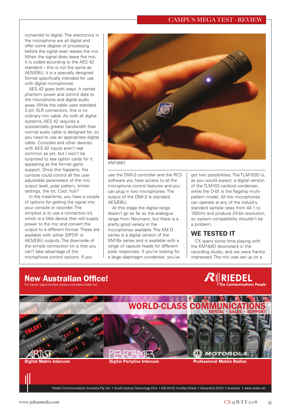#### CAMPUS MEGA TEST - REVIEW

converted to digital. The electronics in the microphone are all digital and offer some degree of processing before the signal even leaves the mic. When the signal does leave the mic, it is coded according to the AES 42 standard – this is not the same as AES/EBU, it is a specially designed format specifically intended for use with digital microphones.

AES 42 goes both ways. It carries phantom power and control data to the microphone and digital audio away. While the cable uses standard 3 pin XLR connectors, this is no ordinary mic cable. As with all digital systems, AES 42 requires a substantially greater bandwidth than normal audio cable is designed for, so you need to use an appropriate digital cable. Consoles and other devices with AES 42 inputs aren't real common as yet, but I won't be surprised to see option cards for it appearing as the format gains support. Once this happens, the console could control all the user adjustable parameters of the mic: output level, polar pattern, limiter settings, the lot. Cool, huh?

In the meantime, you have a couple of options for getting the signal into your console or recorder. The simplest is to use a connection kit. which is a little device that will supply power to the mic and convert the output to a different format. These are available with either S/PDIF or AES/EBU outputs. The downside of the simple connection kit is that you can't take advantage of the microphone control options. If you



KM184D

use the DMI-2 controller and the RCS software you have access to all the microphone control features and you can plug in two microphones. The output of the DMI-2 is standard AES/EBU.

At this stage the digital range doesn't go as far as the analogue range from Neumann, but there is a pretty good variety in the microphones available. The KM D series is a digital version of the KM18x series and is available with a range of capsule heads for different polar responses. If you're looking for a large diaphragm condenser, you've got two possibilities. The TLM103D is, as you would expect, a digital version of the TLM103 cardioid condenser, while the D-01 is the flagship multipattern model. All the microphones can operate at any of the industry standard sample rates from 44.1 to 192kHz and produce 24-bit resolution, so system compatibility shouldn't be a problem.

#### **WE TESTED IT**

CX spent some time playing with the KM184D downstairs in the recording studio, and we were frankly impressed. The mic was set up on a

### **New Australian Office!**

).<br>Rufareer opportunities please visit ww





Riedel Communications Australia Pty Ltd. • South Sydney Technology Park • 68/45-51 Huntley Street • Alexandria 2015 • Australia • www.riedel.net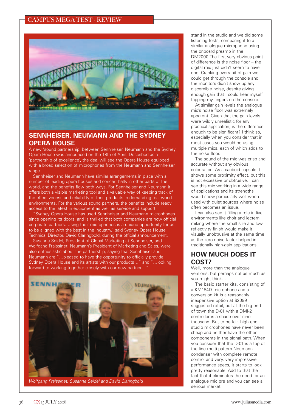

#### **SENNHEISER, NEUMANN AND THE SYDNEY OPERA HOUSE**

A new 'sound partnership' between Sennheiser, Neumann and the Sydney Opera House was announced on the 18th of April. Described as a 'partnership of excellence', the deal will see the Opera House equipped with a broad selection of microphones from the Neumann and Sennheiser range

Sennheiser and Neumann have similar arrangements in place with a number of leading opera houses and concert halls in other parts of the world, and the benefits flow both ways. For Sennheiser and Neumann it offers both a visible marketing tool and a valuable way of keeping track of the effectiveness and reliability of their products in demanding real world environments. For the various sound partners, the benefits include ready access to the latest in equipment as well as service and support.

"Sydney Opera House has used Sennheiser and Neumann microphones since opening its doors, and is thrilled that both companies are now official corporate partners. Using their microphones is a unique opportunity for us to be aligned with the best in the industry," said Sydney Opera House Technical Director, David Claringbold, during the official announcement.

Susanne Seidel, President of Global Marketing at Sennheiser, and Wolfgang Fraissinet, Neumann's President of Marketing and Sales, were also enthusiastic about the partnership, saying that Sennheiser and Neumann are "…pleased to have the opportunity to officially provide Sydney Opera House and its artists with our products…" and "…looking forward to working together closely with our new partner…"



Wolfgang Fraissinet, Susanne Seidel and David Claringbold

stand in the studio and we did some listening tests, comparing it to a similar analogue microphone using the onboard preamp in the DM2000.The first very obvious point of difference is the noise floor – the digital mic just didn't seem to have one. Cranking every bit of gain we could get through the console and the monitors didn't show up any discernible noise, despite giving enough gain that I could hear myself tapping my fingers on the console.

At similar gain levels the analogue mic's noise floor was extremely apparent. Given that the gain levels were wildly unrealistic for any practical application, is the difference enough to be significant? I think so, especially when you consider that in most cases you would be using multiple mics, each of which adds to the noise floor.

The sound of the mic was crisp and accurate without any obvious colouration. As a cardioid capsule it shows some proximity effect, but this is not excessive or obtrusive. I can see this mic working in a wide range of applications and its strengths would show particularly well when used with quiet sources where noise often becomes an issue.

I can also see it filling a role in live environments like choir and lectern miking where the small size and low reflectivity finish would make it visually unobtrusive at the same time as the zero noise factor helped in traditionally high-gain applications.

#### **HOW MUCH DOES IT COST?**

Well, more than the analogue versions, but perhaps not as much as you might think…

The basic starter kits, consisting of a KM184D microphone and a conversion kit is a reasonably inexpensive option at \$2099 suggested retail, but at the big end of town the D-01 with a DMI-2 controller is a shade over nine thousand. But to be fair, high end studio microphones have never been cheap and neither have the other components in the signal path. When you consider that the D-01 is a top of the line multi-pattern Neumann condenser with complete remote control and very, very impressive performance specs, it starts to look pretty reasonable. Add to that the fact that it eliminates the need for an analogue mic pre and you can see a serious market.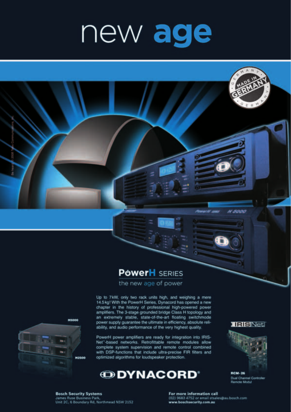# new age

## **PowerH** SERIES

the new age of power

Up to 7kW, only two rack units high, and weighing a mere 14.5 kg! With the PowerH Series, Dynacord has opened a new chapter in the history of professional high-powered power amplifiers. The 3-stage grounded bridge Class H topology and an extremely stable, state-of-the-art floating switchmode power supply guarantee the ultimate in efficiency, absolute reliability, and audio performance of the very highest quality.

PowerH power amplifiers are ready for integration into IRIS-Net"-based networks. Retrofittable remote modules allow complete system supervision and remote control combined with DSP-functions that include ultra-precise FIR filters and optimized algorithms for loudspeaker protection.



**TRIBNed** 

H 5000



**RCM-26** Dual Channel Controller<br>Remote Modul



**Bosch Security Systems** James Ruse Business Park, Unit 2C, 6 Boundary Rd, Northmead NSW 2152 For more information call (02) 9683 4752 or email stsales@au.bosch.com www.boschsecurity.com.au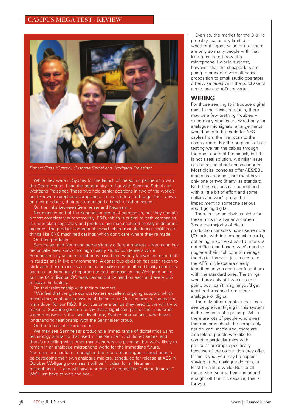#### CAMPUS MEGA TEST - REVIEW



Robert Sloss (Syntec), Susanne Seidel and Wolfgang Fraissinet

While they were in Sydney for the launch of the sound partnership with the Opera House, I had the opportunity to chat with Susanne Seidel and Wolfgang Fraissinet. These two hold senior positions in two of the world's best known microphone companies, so I was interested to get their views on their products, their customers and a bunch of other issues…

On the links between Sennheiser and Neumann…

Neumann is part of the Sennheiser group of companies, but they operate almost completely autonomously. R&D, which is critical to both companies, is undertaken separately and products are manufactured mostly in different factories. The product components which share manufacturing facilities are things like CNC machined casings which don't care where they're made.

On their products...

Sennheiser and Neumann serve slightly different markets – Neumann has historically been known for high quality studio condensers while Sennheiser's dynamic microphones have been widely known and used both in studios and in live environments. A conscious decision has been taken to stick with these markets and not cannibalise one another. Quality control is seen as fundamentally important to both companies and Wolfgang points out the 64 individual QC tests carried out by hand on each and every U87 to leave the factory.

On their relationship with their customers…

"We feel that we give our customers excellent ongoing support, which means they continue to have confidence in us. Our customers also are the main driver for our R&D. If our customers tell us they need it, we will try to make it." Susanne goes on to say that a significant part of their customer support network is the local distributor, Syntec International, who have a longstanding relationship with the Sennheiser group.

On the future of microphones…

We may see Sennheiser producing a limited range of digital mics using technology similar to that used in the Neumann Solution-D series, and there's no telling what other manufacturers are planning, but we're likely to remain in an analogue microphone world for the immediate future. Neumann are confident enough in the future of analogue microphones to be developing their own analogue mic pre, scheduled for release at AES in October. Wolfgang promises it will be "…ideal for all Neumann microphones…" and will have a number of unspecified "unique features". We'll just have to wait and see…

Even so, the market for the D-01 is probably reasonably limited – whether it's good value or not, there are only so many people with that kind of cash to throw at a microphone. I would suggest, however, that the cheaper kits are going to present a very attractive proposition to small studio operators otherwise faced with the purchase of a mic, pre and A-D converter.

#### **WIRING**

For those seeking to introduce digital mics to their existing studio, there may be a few teething troubles – since many studios are wired only for analogue mic signals, arrangements would need to be made for AES cables from the live room to the control room. For the purposes of our testing we ran the cables through the open doors of the airlock, but this is not a real solution. A similar issue can be raised about console inputs. Most digital consoles offer AES/EBU inputs as an option, but most have only one or two (if any) as standard. Both these issues can be rectified with a little bit of effort and some dollars and won't present an impediment to someone serious about going digital.

There is also an obvious niche for these mics in a live environment. Since the majority of digital production consoles now use remote I/O racks with interchangeable cards, optioning in some AES/EBU inputs is not difficult, and users won't need to upgrade their multicore to manage the digital format – just make sure the AES mic leads are clearly identified so you don't confuse them with the standard ones. The things would probably still work up to a point, but I can't imagine you'd get ideal performance from either analogue or digital.

The only other negative that I can see people identifying in this system is the absence of a preamp. While there are lots of people who swear that mic pres should be completely neutral and uncoloured, there are also lots of people who like to combine particular mics with particular preamps specifically because of the colouration they offer. If this is you, you may be happier staying in the analogue domain, at least for a little while. But for all those who want to hear the sound straight off the mic capsule, this is for you.